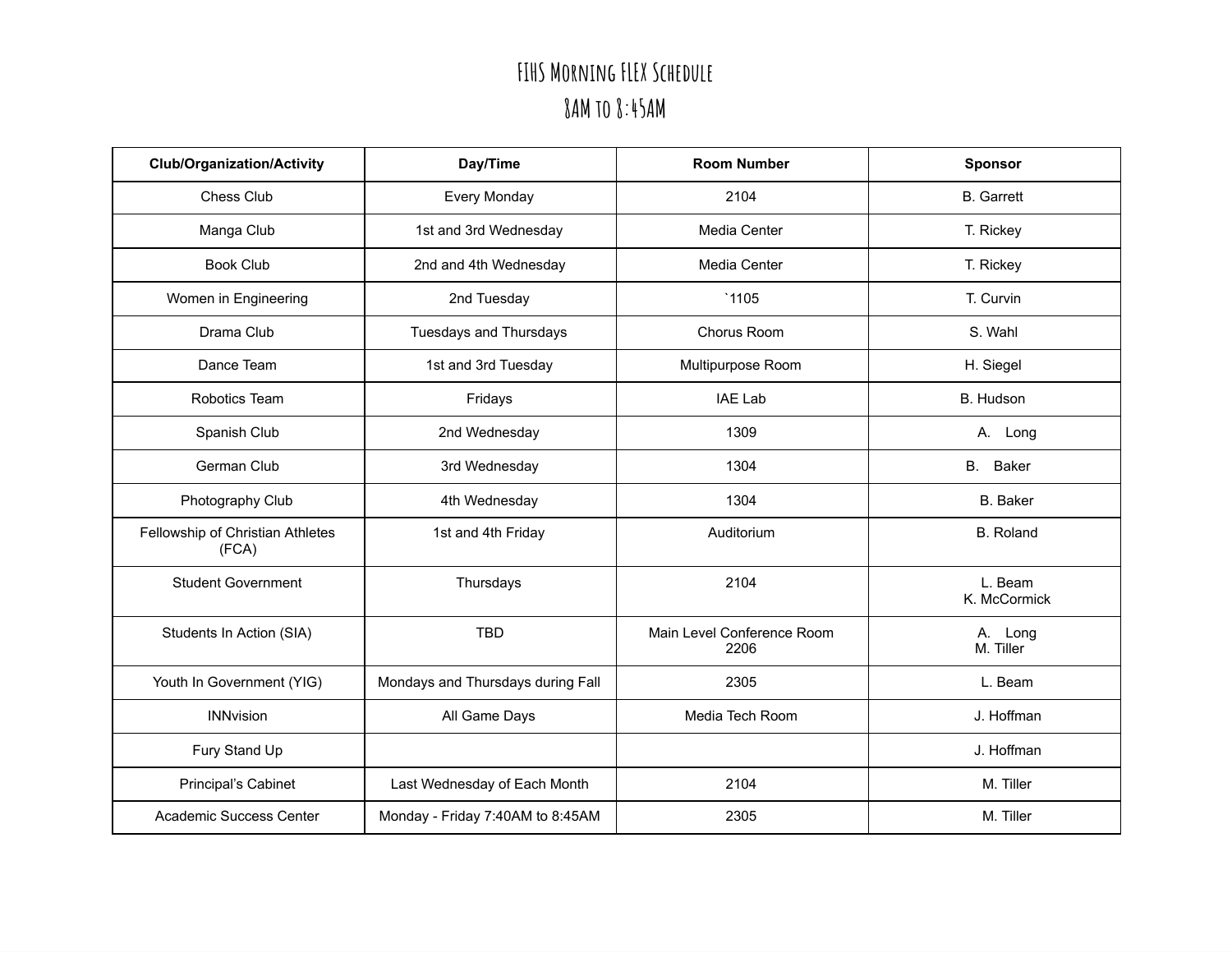## **FIHS Morning FLEX Schedule 8AM to 8:45AM**

| <b>Club/Organization/Activity</b>         | Day/Time                          | <b>Room Number</b>                 | <b>Sponsor</b>          |
|-------------------------------------------|-----------------------------------|------------------------------------|-------------------------|
| Chess Club                                | <b>Every Monday</b>               | 2104                               | <b>B.</b> Garrett       |
| Manga Club                                | 1st and 3rd Wednesday             | Media Center                       | T. Rickey               |
| <b>Book Club</b>                          | 2nd and 4th Wednesday             | Media Center                       | T. Rickey               |
| Women in Engineering                      | 2nd Tuesday                       | `1105                              | T. Curvin               |
| Drama Club                                | <b>Tuesdays and Thursdays</b>     | Chorus Room                        | S. Wahl                 |
| Dance Team                                | 1st and 3rd Tuesday               | Multipurpose Room                  | H. Siegel               |
| Robotics Team                             | Fridays                           | <b>IAE Lab</b>                     | B. Hudson               |
| Spanish Club                              | 2nd Wednesday                     | 1309                               | A. Long                 |
| German Club                               | 3rd Wednesday                     | 1304                               | <b>B.</b><br>Baker      |
| Photography Club                          | 4th Wednesday                     | 1304                               | <b>B.</b> Baker         |
| Fellowship of Christian Athletes<br>(FCA) | 1st and 4th Friday                | Auditorium                         | <b>B.</b> Roland        |
| <b>Student Government</b>                 | Thursdays                         | 2104                               | L. Beam<br>K. McCormick |
| Students In Action (SIA)                  | <b>TBD</b>                        | Main Level Conference Room<br>2206 | A. Long<br>M. Tiller    |
| Youth In Government (YIG)                 | Mondays and Thursdays during Fall | 2305                               | L. Beam                 |
| <b>INNvision</b>                          | All Game Days                     | Media Tech Room                    | J. Hoffman              |
| Fury Stand Up                             |                                   |                                    | J. Hoffman              |
| Principal's Cabinet                       | Last Wednesday of Each Month      | 2104                               | M. Tiller               |
| Academic Success Center                   | Monday - Friday 7:40AM to 8:45AM  | 2305                               | M. Tiller               |